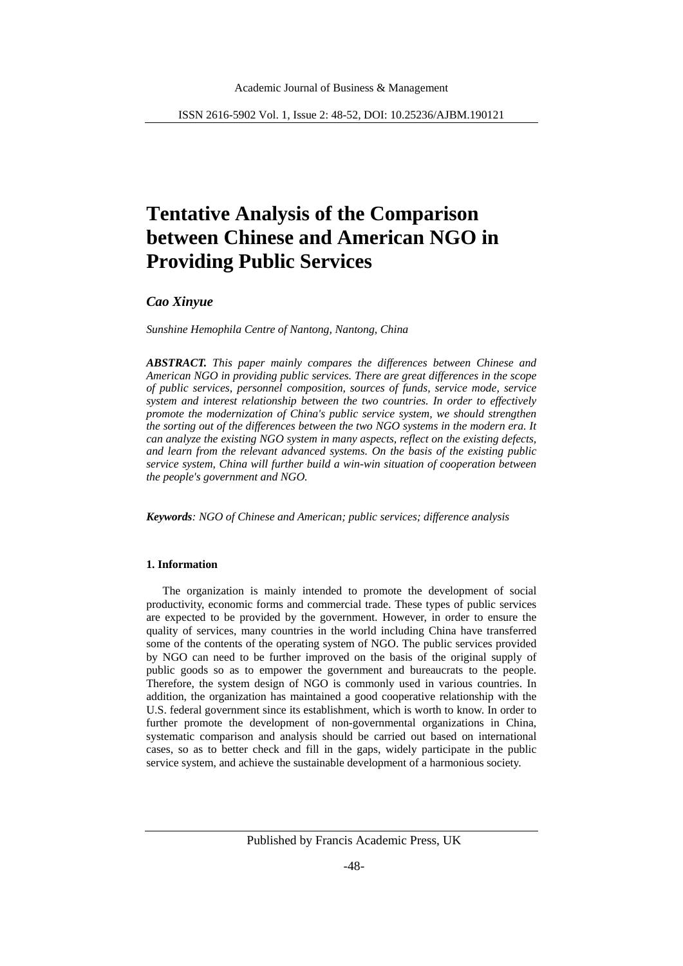# **Tentative Analysis of the Comparison between Chinese and American NGO in Providing Public Services**

*Cao Xinyue*

*Sunshine Hemophila Centre of Nantong, Nantong, China* 

*ABSTRACT. This paper mainly compares the differences between Chinese and American NGO in providing public services. There are great differences in the scope of public services, personnel composition, sources of funds, service mode, service system and interest relationship between the two countries. In order to effectively promote the modernization of China's public service system, we should strengthen the sorting out of the differences between the two NGO systems in the modern era. It can analyze the existing NGO system in many aspects, reflect on the existing defects, and learn from the relevant advanced systems. On the basis of the existing public service system, China will further build a win-win situation of cooperation between the people's government and NGO.*

*Keywords: NGO of Chinese and American; public services; difference analysis*

# **1. Information**

The organization is mainly intended to promote the development of social productivity, economic forms and commercial trade. These types of public services are expected to be provided by the government. However, in order to ensure the quality of services, many countries in the world including China have transferred some of the contents of the operating system of NGO. The public services provided by NGO can need to be further improved on the basis of the original supply of public goods so as to empower the government and bureaucrats to the people. Therefore, the system design of NGO is commonly used in various countries. In addition, the organization has maintained a good cooperative relationship with the U.S. federal government since its establishment, which is worth to know. In order to further promote the development of non-governmental organizations in China, systematic comparison and analysis should be carried out based on international cases, so as to better check and fill in the gaps, widely participate in the public service system, and achieve the sustainable development of a harmonious society.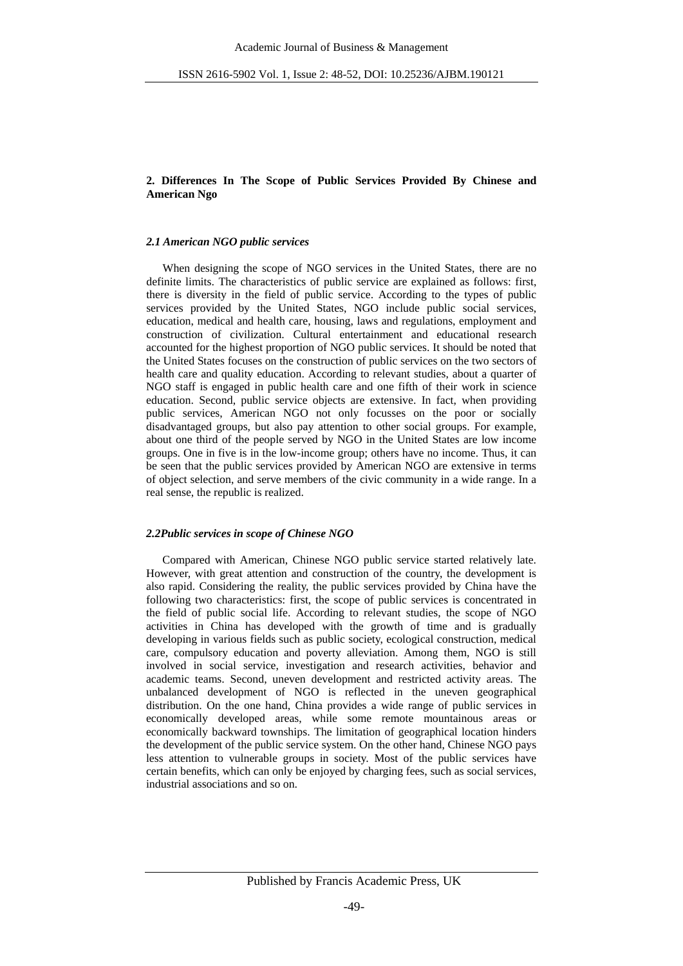## **2. Differences In The Scope of Public Services Provided By Chinese and American Ngo**

### *2.1 American NGO public services*

When designing the scope of NGO services in the United States, there are no definite limits. The characteristics of public service are explained as follows: first, there is diversity in the field of public service. According to the types of public services provided by the United States, NGO include public social services, education, medical and health care, housing, laws and regulations, employment and construction of civilization. Cultural entertainment and educational research accounted for the highest proportion of NGO public services. It should be noted that the United States focuses on the construction of public services on the two sectors of health care and quality education. According to relevant studies, about a quarter of NGO staff is engaged in public health care and one fifth of their work in science education. Second, public service objects are extensive. In fact, when providing public services, American NGO not only focusses on the poor or socially disadvantaged groups, but also pay attention to other social groups. For example, about one third of the people served by NGO in the United States are low income groups. One in five is in the low-income group; others have no income. Thus, it can be seen that the public services provided by American NGO are extensive in terms of object selection, and serve members of the civic community in a wide range. In a real sense, the republic is realized.

#### *2.2Public services in scope of Chinese NGO*

Compared with American, Chinese NGO public service started relatively late. However, with great attention and construction of the country, the development is also rapid. Considering the reality, the public services provided by China have the following two characteristics: first, the scope of public services is concentrated in the field of public social life. According to relevant studies, the scope of NGO activities in China has developed with the growth of time and is gradually developing in various fields such as public society, ecological construction, medical care, compulsory education and poverty alleviation. Among them, NGO is still involved in social service, investigation and research activities, behavior and academic teams. Second, uneven development and restricted activity areas. The unbalanced development of NGO is reflected in the uneven geographical distribution. On the one hand, China provides a wide range of public services in economically developed areas, while some remote mountainous areas or economically backward townships. The limitation of geographical location hinders the development of the public service system. On the other hand, Chinese NGO pays less attention to vulnerable groups in society. Most of the public services have certain benefits, which can only be enjoyed by charging fees, such as social services, industrial associations and so on.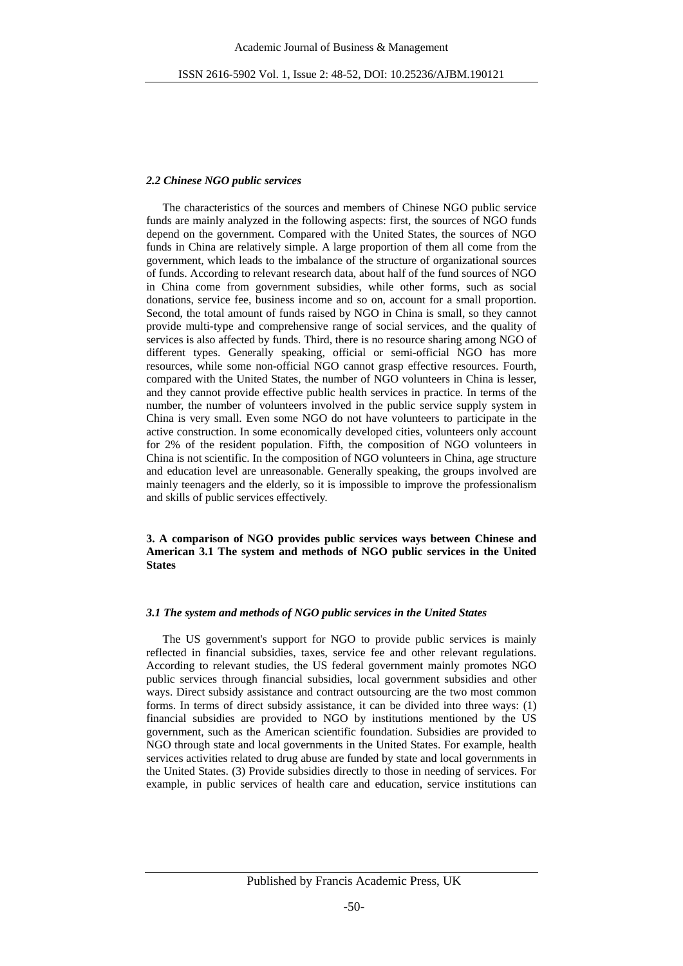## *2.2 Chinese NGO public services*

The characteristics of the sources and members of Chinese NGO public service funds are mainly analyzed in the following aspects: first, the sources of NGO funds depend on the government. Compared with the United States, the sources of NGO funds in China are relatively simple. A large proportion of them all come from the government, which leads to the imbalance of the structure of organizational sources of funds. According to relevant research data, about half of the fund sources of NGO in China come from government subsidies, while other forms, such as social donations, service fee, business income and so on, account for a small proportion. Second, the total amount of funds raised by NGO in China is small, so they cannot provide multi-type and comprehensive range of social services, and the quality of services is also affected by funds. Third, there is no resource sharing among NGO of different types. Generally speaking, official or semi-official NGO has more resources, while some non-official NGO cannot grasp effective resources. Fourth, compared with the United States, the number of NGO volunteers in China is lesser, and they cannot provide effective public health services in practice. In terms of the number, the number of volunteers involved in the public service supply system in China is very small. Even some NGO do not have volunteers to participate in the active construction. In some economically developed cities, volunteers only account for 2% of the resident population. Fifth, the composition of NGO volunteers in China is not scientific. In the composition of NGO volunteers in China, age structure and education level are unreasonable. Generally speaking, the groups involved are mainly teenagers and the elderly, so it is impossible to improve the professionalism and skills of public services effectively.

## **3. A comparison of NGO provides public services ways between Chinese and American 3.1 The system and methods of NGO public services in the United States**

## *3.1 The system and methods of NGO public services in the United States*

The US government's support for NGO to provide public services is mainly reflected in financial subsidies, taxes, service fee and other relevant regulations. According to relevant studies, the US federal government mainly promotes NGO public services through financial subsidies, local government subsidies and other ways. Direct subsidy assistance and contract outsourcing are the two most common forms. In terms of direct subsidy assistance, it can be divided into three ways: (1) financial subsidies are provided to NGO by institutions mentioned by the US government, such as the American scientific foundation. Subsidies are provided to NGO through state and local governments in the United States. For example, health services activities related to drug abuse are funded by state and local governments in the United States. (3) Provide subsidies directly to those in needing of services. For example, in public services of health care and education, service institutions can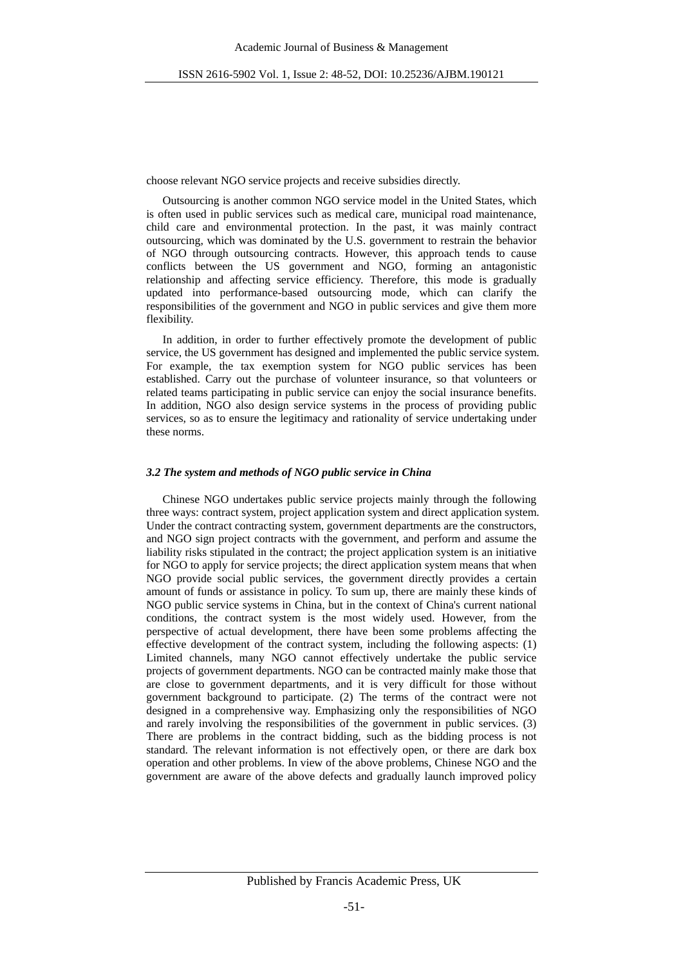choose relevant NGO service projects and receive subsidies directly.

Outsourcing is another common NGO service model in the United States, which is often used in public services such as medical care, municipal road maintenance, child care and environmental protection. In the past, it was mainly contract outsourcing, which was dominated by the U.S. government to restrain the behavior of NGO through outsourcing contracts. However, this approach tends to cause conflicts between the US government and NGO, forming an antagonistic relationship and affecting service efficiency. Therefore, this mode is gradually updated into performance-based outsourcing mode, which can clarify the responsibilities of the government and NGO in public services and give them more flexibility.

In addition, in order to further effectively promote the development of public service, the US government has designed and implemented the public service system. For example, the tax exemption system for NGO public services has been established. Carry out the purchase of volunteer insurance, so that volunteers or related teams participating in public service can enjoy the social insurance benefits. In addition, NGO also design service systems in the process of providing public services, so as to ensure the legitimacy and rationality of service undertaking under these norms.

#### *3.2 The system and methods of NGO public service in China*

Chinese NGO undertakes public service projects mainly through the following three ways: contract system, project application system and direct application system. Under the contract contracting system, government departments are the constructors, and NGO sign project contracts with the government, and perform and assume the liability risks stipulated in the contract; the project application system is an initiative for NGO to apply for service projects; the direct application system means that when NGO provide social public services, the government directly provides a certain amount of funds or assistance in policy. To sum up, there are mainly these kinds of NGO public service systems in China, but in the context of China's current national conditions, the contract system is the most widely used. However, from the perspective of actual development, there have been some problems affecting the effective development of the contract system, including the following aspects: (1) Limited channels, many NGO cannot effectively undertake the public service projects of government departments. NGO can be contracted mainly make those that are close to government departments, and it is very difficult for those without government background to participate. (2) The terms of the contract were not designed in a comprehensive way. Emphasizing only the responsibilities of NGO and rarely involving the responsibilities of the government in public services. (3) There are problems in the contract bidding, such as the bidding process is not standard. The relevant information is not effectively open, or there are dark box operation and other problems. In view of the above problems, Chinese NGO and the government are aware of the above defects and gradually launch improved policy